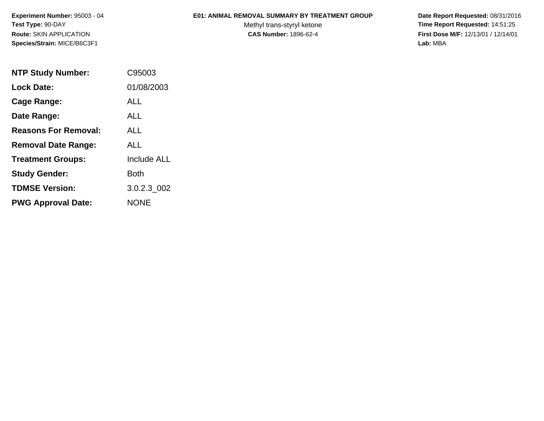**Experiment Number:** 95003 - 04**Test Type:** 90-DAY**Route:** SKIN APPLICATION**Species/Strain:** MICE/B6C3F1

## **E01: ANIMAL REMOVAL SUMMARY BY TREATMENT GROUP**

Methyl trans-styryl ketone<br>CAS Number: 1896-62-4

 **Date Report Requested:** 08/31/2016 **Time Report Requested:** 14:51:25 **First Dose M/F:** 12/13/01 / 12/14/01<br>Lab: MBA **Lab:** MBA

| <b>NTP Study Number:</b>    | C95003             |
|-----------------------------|--------------------|
| <b>Lock Date:</b>           | 01/08/2003         |
| Cage Range:                 | ALL                |
| Date Range:                 | AI I               |
| <b>Reasons For Removal:</b> | <b>ALL</b>         |
| <b>Removal Date Range:</b>  | ALL                |
| <b>Treatment Groups:</b>    | <b>Include ALL</b> |
| <b>Study Gender:</b>        | Both               |
| <b>TDMSE Version:</b>       | 3.0.2.3 002        |
| <b>PWG Approval Date:</b>   | <b>NONE</b>        |